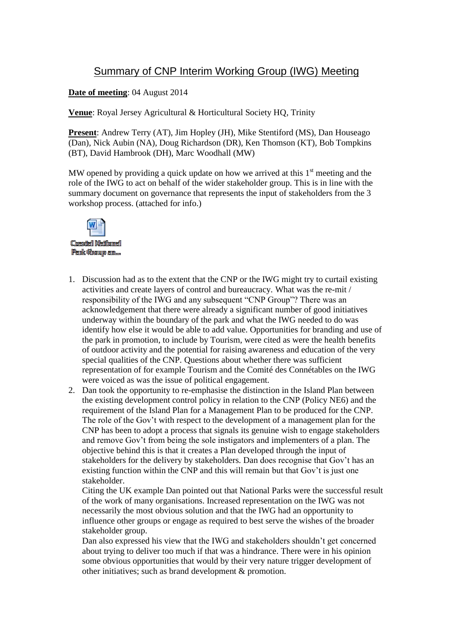## Summary of CNP Interim Working Group (IWG) Meeting

**Date of meeting**: 04 August 2014

**Venue**: Royal Jersey Agricultural & Horticultural Society HQ, Trinity

**Present**: Andrew Terry (AT), Jim Hopley (JH), Mike Stentiford (MS), Dan Houseago (Dan), Nick Aubin (NA), Doug Richardson (DR), Ken Thomson (KT), Bob Tompkins (BT), David Hambrook (DH), Marc Woodhall (MW)

MW opened by providing a quick update on how we arrived at this  $1<sup>st</sup>$  meeting and the role of the IWG to act on behalf of the wider stakeholder group. This is in line with the summary document on governance that represents the input of stakeholders from the 3 workshop process. (attached for info.)



1. Discussion had as to the extent that the CNP or the IWG might try to curtail existing activities and create layers of control and bureaucracy. What was the re-mit / responsibility of the IWG and any subsequent "CNP Group"? There was an acknowledgement that there were already a significant number of good initiatives underway within the boundary of the park and what the IWG needed to do was identify how else it would be able to add value. Opportunities for branding and use of the park in promotion, to include by Tourism, were cited as were the health benefits of outdoor activity and the potential for raising awareness and education of the very special qualities of the CNP. Questions about whether there was sufficient representation of for example Tourism and the Comité des Connétables on the IWG were voiced as was the issue of political engagement.

2. Dan took the opportunity to re-emphasise the distinction in the Island Plan between the existing development control policy in relation to the CNP (Policy NE6) and the requirement of the Island Plan for a Management Plan to be produced for the CNP. The role of the Gov't with respect to the development of a management plan for the CNP has been to adopt a process that signals its genuine wish to engage stakeholders and remove Gov't from being the sole instigators and implementers of a plan. The objective behind this is that it creates a Plan developed through the input of stakeholders for the delivery by stakeholders. Dan does recognise that Gov't has an existing function within the CNP and this will remain but that Gov't is just one stakeholder.

Citing the UK example Dan pointed out that National Parks were the successful result of the work of many organisations. Increased representation on the IWG was not necessarily the most obvious solution and that the IWG had an opportunity to influence other groups or engage as required to best serve the wishes of the broader stakeholder group.

Dan also expressed his view that the IWG and stakeholders shouldn't get concerned about trying to deliver too much if that was a hindrance. There were in his opinion some obvious opportunities that would by their very nature trigger development of other initiatives; such as brand development & promotion.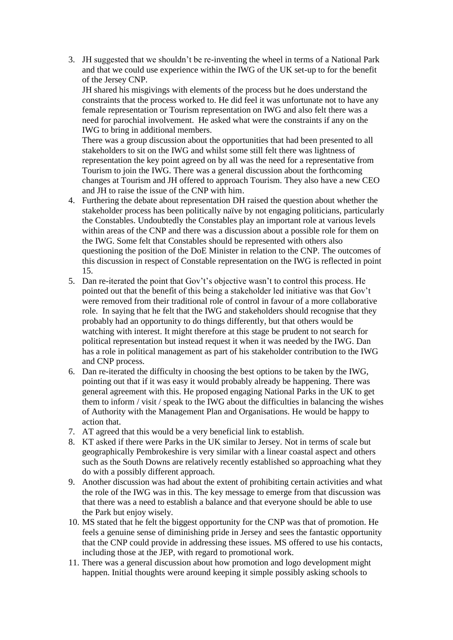3. JH suggested that we shouldn't be re-inventing the wheel in terms of a National Park and that we could use experience within the IWG of the UK set-up to for the benefit of the Jersey CNP.

JH shared his misgivings with elements of the process but he does understand the constraints that the process worked to. He did feel it was unfortunate not to have any female representation or Tourism representation on IWG and also felt there was a need for parochial involvement. He asked what were the constraints if any on the IWG to bring in additional members.

There was a group discussion about the opportunities that had been presented to all stakeholders to sit on the IWG and whilst some still felt there was lightness of representation the key point agreed on by all was the need for a representative from Tourism to join the IWG. There was a general discussion about the forthcoming changes at Tourism and JH offered to approach Tourism. They also have a new CEO and JH to raise the issue of the CNP with him.

- 4. Furthering the debate about representation DH raised the question about whether the stakeholder process has been politically naïve by not engaging politicians, particularly the Constables. Undoubtedly the Constables play an important role at various levels within areas of the CNP and there was a discussion about a possible role for them on the IWG. Some felt that Constables should be represented with others also questioning the position of the DoE Minister in relation to the CNP. The outcomes of this discussion in respect of Constable representation on the IWG is reflected in point 15.
- 5. Dan re-iterated the point that Gov't's objective wasn't to control this process. He pointed out that the benefit of this being a stakeholder led initiative was that Gov't were removed from their traditional role of control in favour of a more collaborative role. In saying that he felt that the IWG and stakeholders should recognise that they probably had an opportunity to do things differently, but that others would be watching with interest. It might therefore at this stage be prudent to not search for political representation but instead request it when it was needed by the IWG. Dan has a role in political management as part of his stakeholder contribution to the IWG and CNP process.
- 6. Dan re-iterated the difficulty in choosing the best options to be taken by the IWG, pointing out that if it was easy it would probably already be happening. There was general agreement with this. He proposed engaging National Parks in the UK to get them to inform / visit / speak to the IWG about the difficulties in balancing the wishes of Authority with the Management Plan and Organisations. He would be happy to action that.
- 7. AT agreed that this would be a very beneficial link to establish.
- 8. KT asked if there were Parks in the UK similar to Jersey. Not in terms of scale but geographically Pembrokeshire is very similar with a linear coastal aspect and others such as the South Downs are relatively recently established so approaching what they do with a possibly different approach.
- 9. Another discussion was had about the extent of prohibiting certain activities and what the role of the IWG was in this. The key message to emerge from that discussion was that there was a need to establish a balance and that everyone should be able to use the Park but enjoy wisely.
- 10. MS stated that he felt the biggest opportunity for the CNP was that of promotion. He feels a genuine sense of diminishing pride in Jersey and sees the fantastic opportunity that the CNP could provide in addressing these issues. MS offered to use his contacts, including those at the JEP, with regard to promotional work.
- 11. There was a general discussion about how promotion and logo development might happen. Initial thoughts were around keeping it simple possibly asking schools to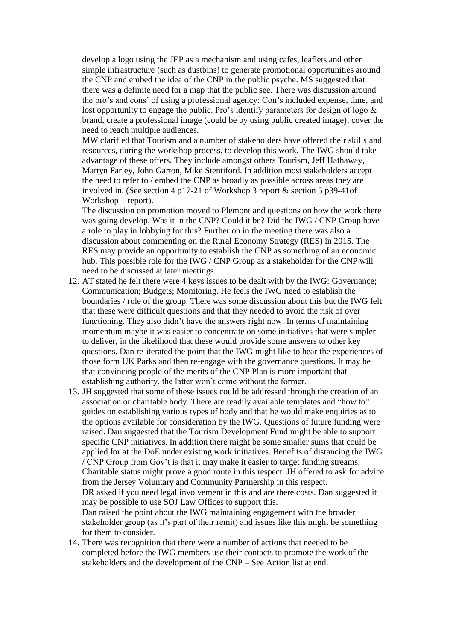develop a logo using the JEP as a mechanism and using cafes, leaflets and other simple infrastructure (such as dustbins) to generate promotional opportunities around the CNP and embed the idea of the CNP in the public psyche. MS suggested that there was a definite need for a map that the public see. There was discussion around the pro's and cons' of using a professional agency: Con's included expense, time, and lost opportunity to engage the public. Pro's identify parameters for design of logo & brand, create a professional image (could be by using public created image), cover the need to reach multiple audiences.

MW clarified that Tourism and a number of stakeholders have offered their skills and resources, during the workshop process, to develop this work. The IWG should take advantage of these offers. They include amongst others Tourism, Jeff Hathaway, Martyn Farley, John Garton, Mike Stentiford. In addition most stakeholders accept the need to refer to / embed the CNP as broadly as possible across areas they are involved in. (See section 4 p17-21 of Workshop 3 report & section 5 p39-41of Workshop 1 report).

The discussion on promotion moved to Plemont and questions on how the work there was going develop. Was it in the CNP? Could it be? Did the IWG / CNP Group have a role to play in lobbying for this? Further on in the meeting there was also a discussion about commenting on the Rural Economy Strategy (RES) in 2015. The RES may provide an opportunity to establish the CNP as something of an economic hub. This possible role for the IWG / CNP Group as a stakeholder for the CNP will need to be discussed at later meetings.

- 12. AT stated he felt there were 4 keys issues to be dealt with by the IWG: Governance; Communication; Budgets; Monitoring. He feels the IWG need to establish the boundaries / role of the group. There was some discussion about this but the IWG felt that these were difficult questions and that they needed to avoid the risk of over functioning. They also didn't have the answers right now. In terms of maintaining momentum maybe it was easier to concentrate on some initiatives that were simpler to deliver, in the likelihood that these would provide some answers to other key questions. Dan re-iterated the point that the IWG might like to hear the experiences of those form UK Parks and then re-engage with the governance questions. It may be that convincing people of the merits of the CNP Plan is more important that establishing authority, the latter won't come without the former.
- 13. JH suggested that some of these issues could be addressed through the creation of an association or charitable body. There are readily available templates and "how to" guides on establishing various types of body and that he would make enquiries as to the options available for consideration by the IWG. Questions of future funding were raised. Dan suggested that the Tourism Development Fund might be able to support specific CNP initiatives. In addition there might be some smaller sums that could be applied for at the DoE under existing work initiatives. Benefits of distancing the IWG / CNP Group from Gov't is that it may make it easier to target funding streams. Charitable status might prove a good route in this respect. JH offered to ask for advice from the Jersey Voluntary and Community Partnership in this respect. DR asked if you need legal involvement in this and are there costs. Dan suggested it may be possible to use SOJ Law Offices to support this. Dan raised the point about the IWG maintaining engagement with the broader stakeholder group (as it's part of their remit) and issues like this might be something for them to consider.
- 14. There was recognition that there were a number of actions that needed to be completed before the IWG members use their contacts to promote the work of the stakeholders and the development of the CNP – See Action list at end.